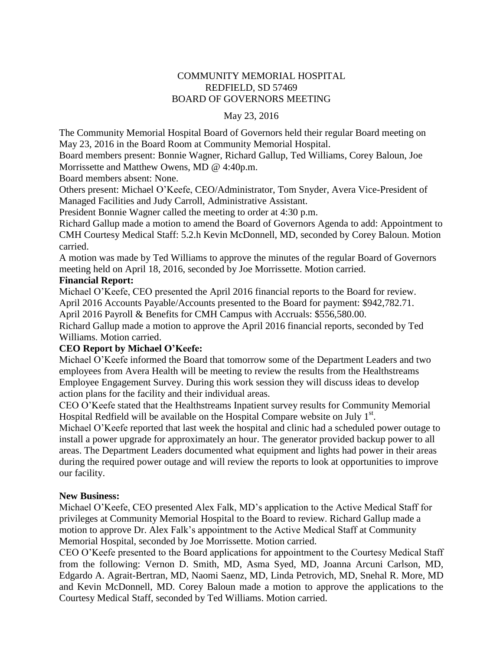# COMMUNITY MEMORIAL HOSPITAL REDFIELD, SD 57469 BOARD OF GOVERNORS MEETING

#### May 23, 2016

The Community Memorial Hospital Board of Governors held their regular Board meeting on May 23, 2016 in the Board Room at Community Memorial Hospital.

Board members present: Bonnie Wagner, Richard Gallup, Ted Williams, Corey Baloun, Joe Morrissette and Matthew Owens, MD @ 4:40p.m.

Board members absent: None.

Others present: Michael O'Keefe, CEO/Administrator, Tom Snyder, Avera Vice-President of Managed Facilities and Judy Carroll, Administrative Assistant.

President Bonnie Wagner called the meeting to order at 4:30 p.m.

Richard Gallup made a motion to amend the Board of Governors Agenda to add: Appointment to CMH Courtesy Medical Staff: 5.2.h Kevin McDonnell, MD, seconded by Corey Baloun. Motion carried.

A motion was made by Ted Williams to approve the minutes of the regular Board of Governors meeting held on April 18, 2016, seconded by Joe Morrissette. Motion carried.

# **Financial Report:**

Michael O'Keefe, CEO presented the April 2016 financial reports to the Board for review.

April 2016 Accounts Payable/Accounts presented to the Board for payment: \$942,782.71.

April 2016 Payroll & Benefits for CMH Campus with Accruals: \$556,580.00.

Richard Gallup made a motion to approve the April 2016 financial reports, seconded by Ted Williams. Motion carried.

# **CEO Report by Michael O'Keefe:**

Michael O'Keefe informed the Board that tomorrow some of the Department Leaders and two employees from Avera Health will be meeting to review the results from the Healthstreams Employee Engagement Survey. During this work session they will discuss ideas to develop action plans for the facility and their individual areas.

CEO O'Keefe stated that the Healthstreams Inpatient survey results for Community Memorial Hospital Redfield will be available on the Hospital Compare website on July  $1<sup>st</sup>$ .

Michael O'Keefe reported that last week the hospital and clinic had a scheduled power outage to install a power upgrade for approximately an hour. The generator provided backup power to all areas. The Department Leaders documented what equipment and lights had power in their areas during the required power outage and will review the reports to look at opportunities to improve our facility.

# **New Business:**

Michael O'Keefe, CEO presented Alex Falk, MD's application to the Active Medical Staff for privileges at Community Memorial Hospital to the Board to review. Richard Gallup made a motion to approve Dr. Alex Falk's appointment to the Active Medical Staff at Community Memorial Hospital, seconded by Joe Morrissette. Motion carried.

CEO O'Keefe presented to the Board applications for appointment to the Courtesy Medical Staff from the following: Vernon D. Smith, MD, Asma Syed, MD, Joanna Arcuni Carlson, MD, Edgardo A. Agrait-Bertran, MD, Naomi Saenz, MD, Linda Petrovich, MD, Snehal R. More, MD and Kevin McDonnell, MD. Corey Baloun made a motion to approve the applications to the Courtesy Medical Staff, seconded by Ted Williams. Motion carried.